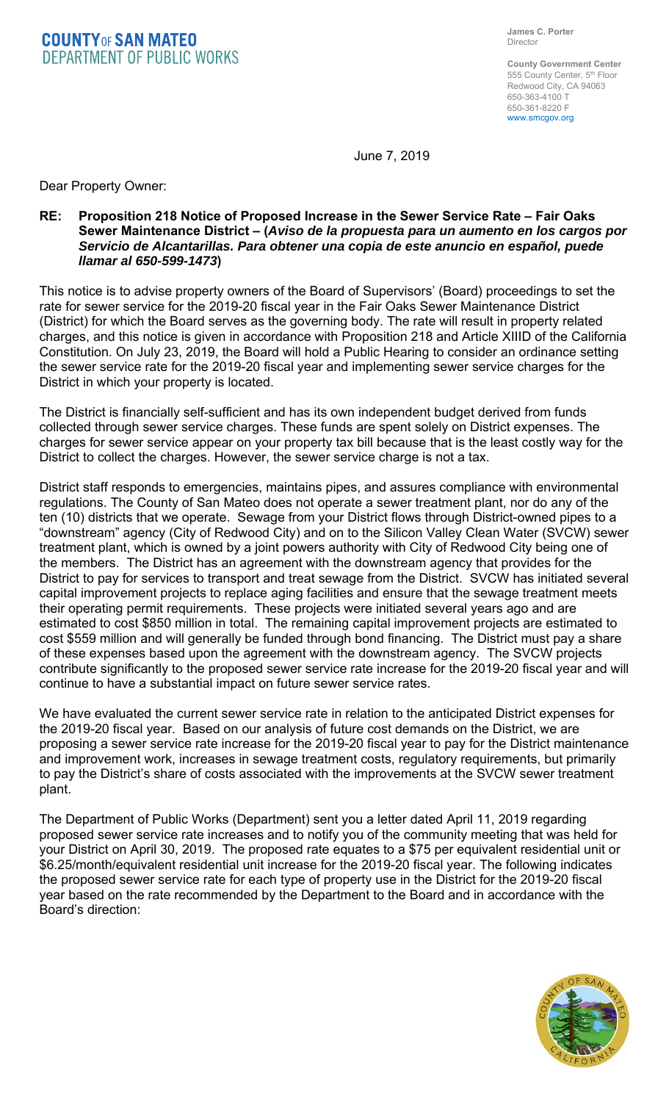**COUNTY OF SAN MATEO**<br>DEPARTMENT OF PUBLIC WORKS

**County Government Center**  555 County Center, 5<sup>th</sup> Floor Redwood City, CA 94063 650-363-4100 T 650-361-8220 F www.smcgov.org

June 7, 2019

Dear Property Owner:

## **RE: Proposition 218 Notice of Proposed Increase in the Sewer Service Rate – Fair Oaks Sewer Maintenance District – (***Aviso de la propuesta para un aumento en los cargos por Servicio de Alcantarillas. Para obtener una copia de este anuncio en español, puede llamar al 650-599-1473***)**

This notice is to advise property owners of the Board of Supervisors' (Board) proceedings to set the rate for sewer service for the 2019-20 fiscal year in the Fair Oaks Sewer Maintenance District (District) for which the Board serves as the governing body. The rate will result in property related charges, and this notice is given in accordance with Proposition 218 and Article XIIID of the California Constitution. On July 23, 2019, the Board will hold a Public Hearing to consider an ordinance setting the sewer service rate for the 2019-20 fiscal year and implementing sewer service charges for the District in which your property is located.

The District is financially self-sufficient and has its own independent budget derived from funds collected through sewer service charges. These funds are spent solely on District expenses. The charges for sewer service appear on your property tax bill because that is the least costly way for the District to collect the charges. However, the sewer service charge is not a tax.

District staff responds to emergencies, maintains pipes, and assures compliance with environmental regulations. The County of San Mateo does not operate a sewer treatment plant, nor do any of the ten (10) districts that we operate. Sewage from your District flows through District-owned pipes to a "downstream" agency (City of Redwood City) and on to the Silicon Valley Clean Water (SVCW) sewer treatment plant, which is owned by a joint powers authority with City of Redwood City being one of the members. The District has an agreement with the downstream agency that provides for the District to pay for services to transport and treat sewage from the District. SVCW has initiated several capital improvement projects to replace aging facilities and ensure that the sewage treatment meets their operating permit requirements. These projects were initiated several years ago and are estimated to cost \$850 million in total. The remaining capital improvement projects are estimated to cost \$559 million and will generally be funded through bond financing. The District must pay a share of these expenses based upon the agreement with the downstream agency. The SVCW projects contribute significantly to the proposed sewer service rate increase for the 2019-20 fiscal year and will continue to have a substantial impact on future sewer service rates.

We have evaluated the current sewer service rate in relation to the anticipated District expenses for the 2019-20 fiscal year. Based on our analysis of future cost demands on the District, we are proposing a sewer service rate increase for the 2019-20 fiscal year to pay for the District maintenance and improvement work, increases in sewage treatment costs, regulatory requirements, but primarily to pay the District's share of costs associated with the improvements at the SVCW sewer treatment plant.

The Department of Public Works (Department) sent you a letter dated April 11, 2019 regarding proposed sewer service rate increases and to notify you of the community meeting that was held for your District on April 30, 2019. The proposed rate equates to a \$75 per equivalent residential unit or \$6.25/month/equivalent residential unit increase for the 2019-20 fiscal year. The following indicates the proposed sewer service rate for each type of property use in the District for the 2019-20 fiscal year based on the rate recommended by the Department to the Board and in accordance with the Board's direction: